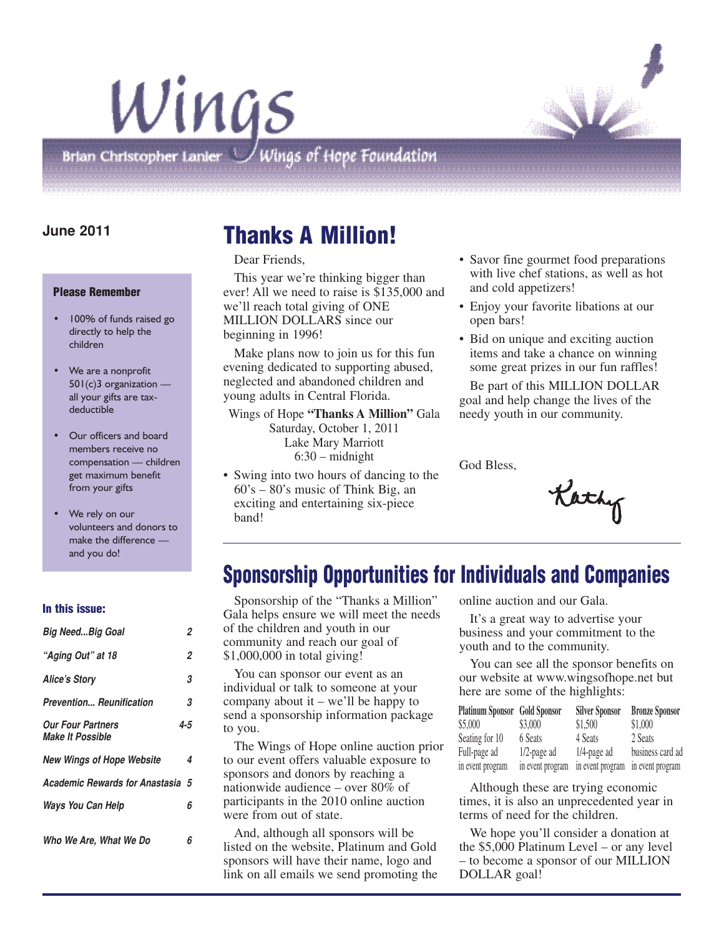

# Wings Brian Christopher Lanier  $\bigcup$  Wings of Hope Foundation

### **June 2011**

#### **Please Remember**

- 100% of funds raised go directly to help the children
- We are a nonprofit 501(c)3 organization all your gifts are taxdeductible
- Our officers and board members receive no compensation — children get maximum benefit from your gifts
- We rely on our volunteers and donors to make the difference and you do!

#### **In this issue:**

| Big NeedBig Goal                                    | 2              |
|-----------------------------------------------------|----------------|
| "Aging Out" at 18                                   | $\overline{2}$ |
| <b>Alice's Story</b>                                | 3              |
| Prevention Reunification                            | 3              |
| <b>Our Four Partners</b><br><b>Make It Possible</b> | 4-5            |
| <b>New Wings of Hope Website</b>                    | 4              |
| <b>Academic Rewards for Anastasia 5</b>             |                |
| Ways You Can Help                                   | 6              |
| Who We Are, What We Do                              | 6              |

# **Thanks A Million!**

Dear Friends,

This year we're thinking bigger than ever! All we need to raise is \$135,000 and we'll reach total giving of ONE MILLION DOLLARS since our beginning in 1996!

Make plans now to join us for this fun evening dedicated to supporting abused, neglected and abandoned children and young adults in Central Florida.

Wings of Hope **"Thanks A Million"** Gala Saturday, October 1, 2011 Lake Mary Marriott 6:30 – midnight

• Swing into two hours of dancing to the 60's – 80's music of Think Big, an exciting and entertaining six-piece band!

- Savor fine gourmet food preparations with live chef stations, as well as hot and cold appetizers!
- Enjoy your favorite libations at our open bars!
- Bid on unique and exciting auction items and take a chance on winning some great prizes in our fun raffles!

Be part of this MILLION DOLLAR goal and help change the lives of the needy youth in our community.

God Bless,

Kathy

### **Sponsorship Opportunities for Individuals and Companies**

Sponsorship of the "Thanks a Million" Gala helps ensure we will meet the needs of the children and youth in our community and reach our goal of \$1,000,000 in total giving!

You can sponsor our event as an individual or talk to someone at your company about it – we'll be happy to send a sponsorship information package to you.

The Wings of Hope online auction prior to our event offers valuable exposure to sponsors and donors by reaching a nationwide audience – over 80% of participants in the 2010 online auction were from out of state.

And, although all sponsors will be listed on the website, Platinum and Gold sponsors will have their name, logo and link on all emails we send promoting the online auction and our Gala.

It's a great way to advertise your business and your commitment to the youth and to the community.

You can see all the sponsor benefits on our website at www.wingsofhope.net but here are some of the highlights:

| <b>Platinum Sponsor</b> Gold Sponsor |                  | <b>Silver Sponsor</b> | <b>Bronze Sponsor</b> |
|--------------------------------------|------------------|-----------------------|-----------------------|
| \$5,000                              | \$3,000          | \$1,500               | \$1,000               |
| Seating for 10                       | 6 Seats          | 4 Seats               | 2 Seats               |
| Full-page ad                         | $1/2$ -page ad   | $1/4$ -page ad        | business card ad      |
| in event program                     | in event program | in event program      | in event program      |

Although these are trying economic times, it is also an unprecedented year in terms of need for the children.

We hope you'll consider a donation at the \$5,000 Platinum Level – or any level – to become a sponsor of our MILLION DOLLAR goal!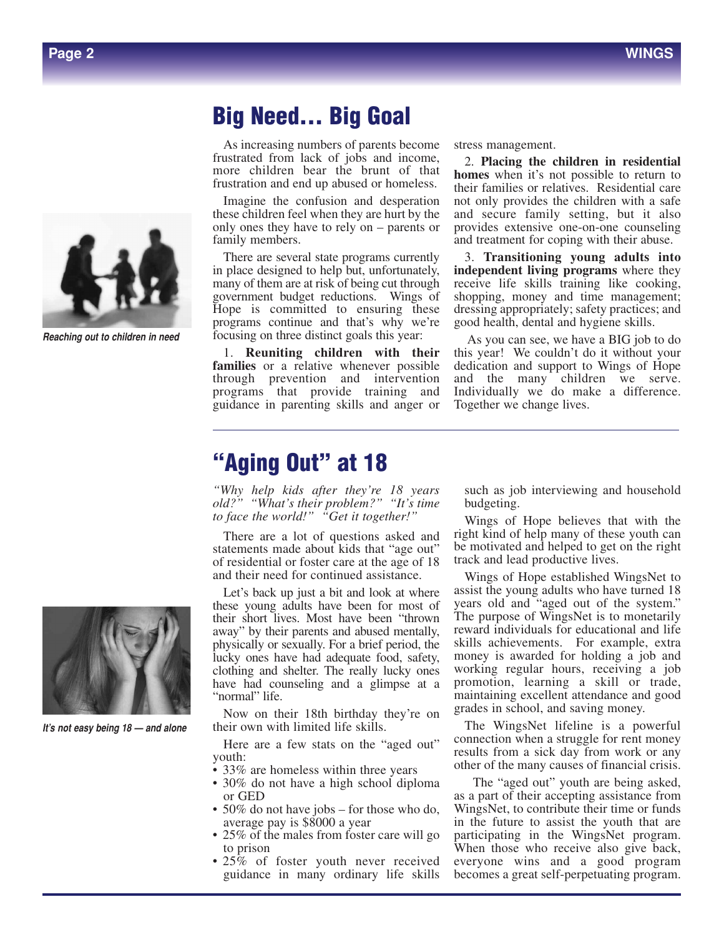



*Reaching out to children in need*

### **Big Need... Big Goal**

As increasing numbers of parents become frustrated from lack of jobs and income, more children bear the brunt of that frustration and end up abused or homeless.

Imagine the confusion and desperation these children feel when they are hurt by the only ones they have to rely on – parents or family members.

There are several state programs currently in place designed to help but, unfortunately, many of them are at risk of being cut through government budget reductions. Wings of Hope is committed to ensuring these programs continue and that's why we're focusing on three distinct goals this year:

1. **Reuniting children with their families** or a relative whenever possible through prevention and intervention programs that provide training and guidance in parenting skills and anger or

stress management.

2. **Placing the children in residential homes** when it's not possible to return to their families or relatives. Residential care not only provides the children with a safe and secure family setting, but it also provides extensive one-on-one counseling and treatment for coping with their abuse.

3. **Transitioning young adults into independent living programs** where they receive life skills training like cooking, shopping, money and time management; dressing appropriately; safety practices; and good health, dental and hygiene skills.

As you can see, we have a BIG job to do this year! We couldn't do it without your dedication and support to Wings of Hope and the many children we serve. Individually we do make a difference. Together we change lives.

### **"Aging Out" at 18**

*"Why help kids after they're 18 years old?" "What's their problem?" "It's time to face the world!" "Get it together!"*

There are a lot of questions asked and statements made about kids that "age out" of residential or foster care at the age of 18 and their need for continued assistance.

Let's back up just a bit and look at where these young adults have been for most of their short lives. Most have been "thrown away" by their parents and abused mentally, physically or sexually. For a brief period, the lucky ones have had adequate food, safety, clothing and shelter. The really lucky ones have had counseling and a glimpse at a "normal" life.

Now on their 18th birthday they're on their own with limited life skills.

Here are a few stats on the "aged out" youth:

- 33% are homeless within three years
- 30% do not have a high school diploma or GED
- 50% do not have jobs for those who do, average pay is \$8000 a year
- 25% of the males from foster care will go to prison
- 25% of foster youth never received guidance in many ordinary life skills

such as job interviewing and household budgeting.

Wings of Hope believes that with the right kind of help many of these youth can be motivated and helped to get on the right track and lead productive lives.

Wings of Hope established WingsNet to assist the young adults who have turned 18 years old and "aged out of the system." The purpose of WingsNet is to monetarily reward individuals for educational and life skills achievements. For example, extra money is awarded for holding a job and working regular hours, receiving a job promotion, learning a skill or trade, maintaining excellent attendance and good grades in school, and saving money.

The WingsNet lifeline is a powerful connection when a struggle for rent money results from a sick day from work or any other of the many causes of financial crisis.

The "aged out" youth are being asked, as a part of their accepting assistance from WingsNet, to contribute their time or funds in the future to assist the youth that are participating in the WingsNet program. When those who receive also give back, everyone wins and a good program becomes a great self-perpetuating program.



*It's not easy being 18 — and alone*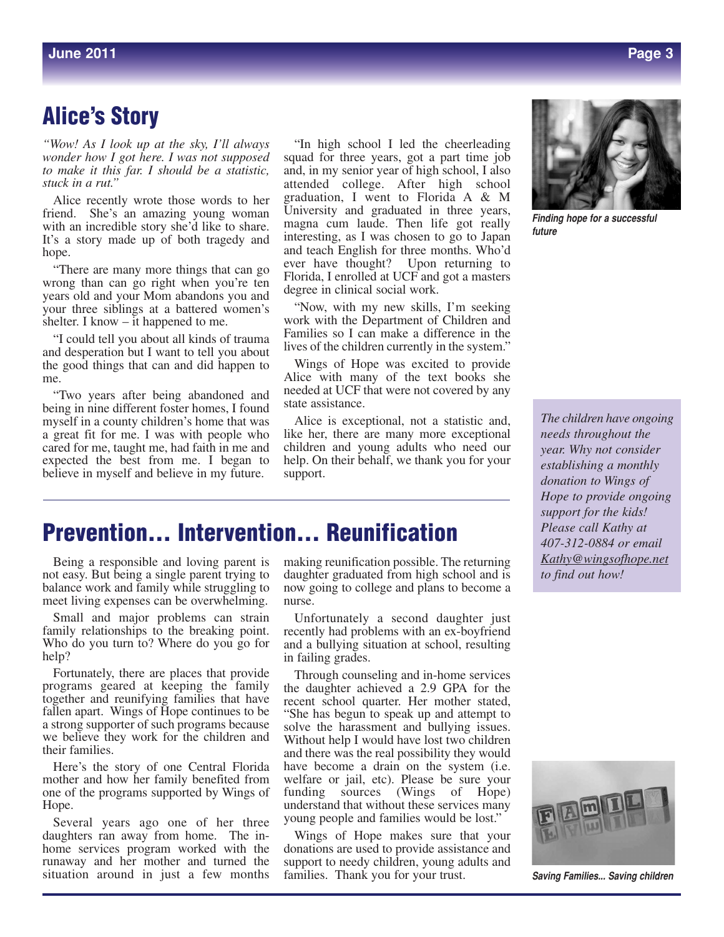### **Alice's Story**

*"Wow! As I look up at the sky, I'll always wonder how I got here. I was not supposed to make it this far. I should be a statistic, stuck in a rut."*

Alice recently wrote those words to her friend. She's an amazing young woman with an incredible story she'd like to share. It's a story made up of both tragedy and hope.

"There are many more things that can go wrong than can go right when you're ten years old and your Mom abandons you and your three siblings at a battered women's shelter. I know – it happened to me.

"I could tell you about all kinds of trauma and desperation but I want to tell you about the good things that can and did happen to me.

"Two years after being abandoned and being in nine different foster homes, I found myself in a county children's home that was a great fit for me. I was with people who cared for me, taught me, had faith in me and expected the best from me. I began to believe in myself and believe in my future.

"In high school I led the cheerleading squad for three years, got a part time job and, in my senior year of high school, I also attended college. After high school graduation, I went to Florida A & M University and graduated in three years, magna cum laude. Then life got really interesting, as I was chosen to go to Japan and teach English for three months. Who'd ever have thought? Upon returning to Florida, I enrolled at UCF and got a masters degree in clinical social work.

"Now, with my new skills, I'm seeking work with the Department of Children and Families so I can make a difference in the lives of the children currently in the system."

Wings of Hope was excited to provide Alice with many of the text books she needed at UCF that were not covered by any state assistance.

Alice is exceptional, not a statistic and, like her, there are many more exceptional children and young adults who need our help. On their behalf, we thank you for your support.



*Finding hope for a successful future*

*The children have ongoing needs throughout the year. Why not consider establishing a monthly donation to Wings of Hope to provide ongoing support for the kids! Please call Kathy at 407-312-0884 or email Kathy@wingsofhope.net to find out how!*

### **Prevention... Intervention... Reunification**

Being a responsible and loving parent is not easy. But being a single parent trying to balance work and family while struggling to meet living expenses can be overwhelming. nurse.

Small and major problems can strain family relationships to the breaking point. Who do you turn to? Where do you go for help?

Fortunately, there are places that provide programs geared at keeping the family together and reunifying families that have fallen apart. Wings of Hope continues to be a strong supporter of such programs because we believe they work for the children and their families.

Here's the story of one Central Florida mother and how her family benefited from one of the programs supported by Wings of Hope.

Several years ago one of her three daughters ran away from home. The inhome services program worked with the runaway and her mother and turned the situation around in just a few months making reunification possible. The returning daughter graduated from high school and is now going to college and plans to become a nurse.

Unfortunately a second daughter just recently had problems with an ex-boyfriend and a bullying situation at school, resulting in failing grades.

Through counseling and in-home services the daughter achieved a 2.9 GPA for the recent school quarter. Her mother stated, "She has begun to speak up and attempt to solve the harassment and bullying issues. Without help I would have lost two children and there was the real possibility they would have become a drain on the system (i.e. welfare or jail, etc). Please be sure your funding sources (Wings of Hope) understand that without these services many young people and families would be lost."

Wings of Hope makes sure that your donations are used to provide assistance and support to needy children, young adults and families. Thank you for your trust.



**Saving Families... Saving children**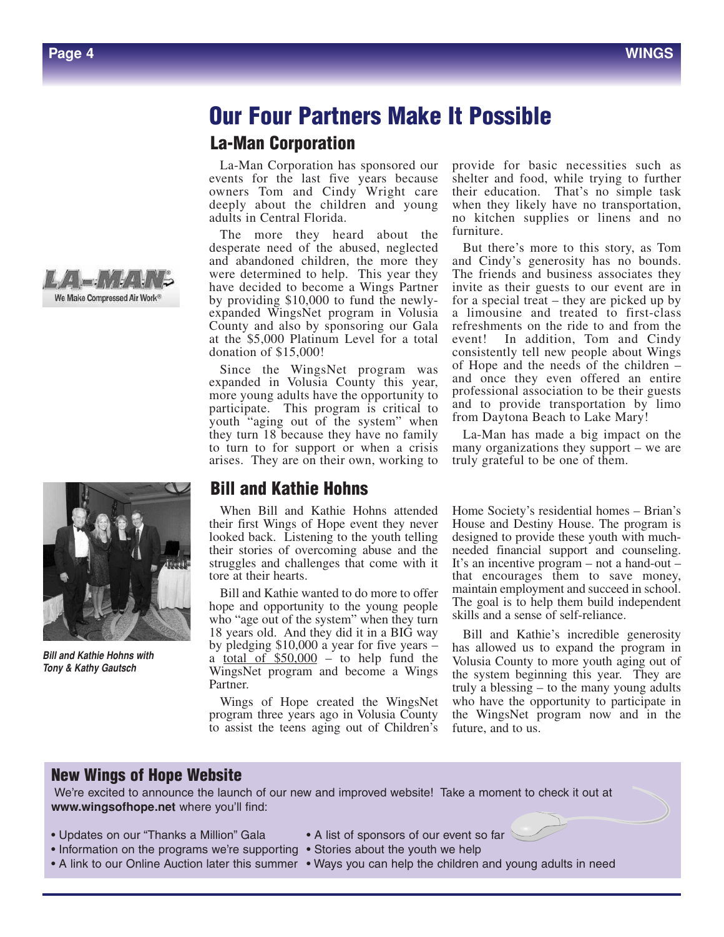# **Our Four Partners Make It Possible Our Four Partners Make It Possible**

### **La-Man Corporation La-Man Corporation**

ovents for the fast five years occurse sheller and food, while dying to further owners Tom and Cindy Wright care their education. That's no simple task La-Man Corporation has sponsored our events for the last five years because La-Man Corporation has sponsored our events owners Tom and Cindy Wright care deeply about the children and young adults in Central Florida.

> and abandonce emidden, the more they were determined to help. This year they have decided to become a wings I affirm by providing \$10,000 to fund the newly-<br>expanded WingsNet program in Volusia County and also by sponsoring our Gala sounce and also by sponsoring our Gala at the \$5,000 Platinum Level for a total The more they heard about the <sup>II</sup><br>decrease need of the shueed neglected desperate need of the abused, neglected and abandoned children, the more they have decided to become a Wings Partner<br>hy graviding \$10,000 to fund the game donation of  $$15,000$ !

Since the WingsNet program was since the wingsNet program was expanded in Volusia County this year, Expanded in Volusia County this year, more young adults have the opportunity to more young addits have the opportunity to participate. This program is critical to youth "aging out of the system" when youth aging out of the system when<br>they turn 18 because they have no family they turn to because they have no family<br>to turn to for support or when a crisis arises. They are on their own, working to

provide for basic necessities such as provide for basic ficcessities such as<br>shelter and food, while trying to further when they likely have no transportation, no kitchen supplies or linens and no furniture.  $\times$  XW  $\times$  Properties  $\mathcal{M}$ 

bey and Cindy's generosity has no bounds.<br>The friends and business associates they  $\frac{dy}{dt}$  includes and business associates they invite as their guests to our event are in  $W_Y$ - for a special treat – they are picked up by  $t<sub>g</sub>$  is a special treat  $-$  they are picked up by  $t<sub>g</sub>$  in a limousine and treated to first-class the different supplies and not further that consistent and refreshments on the ride to and from the  $\frac{1}{2}$  consistently tell new people about Wings as of Hope and the needs of the children –  $\frac{dS}{dr}$  and once they even offered an entire  $\frac{u}{t_0}$ , professional association to be their guests  $\frac{1}{10}$  professional association to be their guests and to provide transportation by limo  $\frac{10}{20}$  from Daytona Beach to Lake Mary! But there's more to this story, as Tom The friends and business associates they event! In addition, Tom and Cindy

 $t_{\rm H}$  tell 2 algebra 2 can be many consistently.  $\mu$  Eq. Wan has made a  $\sigma$  organizations they support  $-\infty$  are true true values of the support  $-\infty$  are the truly eigenment one of them.  $\mathcal{L}$ 

 $\frac{U_1}{\text{Re}}$  The goal is to help them build independent  $\frac{1}{\pi}$  skills and a sense of self-reliance. House and Destiny House. The program is ng designed to provide these youth with muchhe needed financial support and counseling. Home Society's residential homes – Brian's needed mancial support and counseling.<br>It's an incentive program – not a hand-out – maintain employment and succeed in school. that encourages them to save money,

ay Bill and Kathie's incredible generosity  $r =$  has allowed us to expand the program in the system beginning this year. They are truly a blessing – to the many young adults et who have the opportunity to participate in  $\mathbb{W}$  is the system beginning to participate in ty the WingsNet program now and in the  $y_0$  future and to us  $\overrightarrow{a}$ 's future, and to us. and the operator the  $\alpha$ Volusia County to more youth aging out of

 $\mathbb{R}^n$  and in the future, and the future, and to us.

summer

 $\mathcal{X} = \{x_1, x_2, \ldots, x_n\}$ 

### $\blacksquare$  to help fund the Website  $\text{C}$

ce the launch of our new and improved website! Take a moment to check it out at  $\hskip1cm \longrightarrow$ We're excited to announce the launch of our new and improved website! Take a moment to check it out at **www.wingsofhope.net** where you'll find:

• Updates on our "Thanks a Million" Gala

**www.wingsofhope.net**

- s a Million" Gala **·** A list of sponsors of our
- Information on the programs we're supporting Stories about the youth we help
- A link to our Online Auction later this summer Ways you can help the children and young adults in need and improved website  $\mathcal{L}$  to check it is the check it is the check it is the check it is the check it is the check it is the check it is the check it is the check it is the check it is the check it is the check it is

**Bill and Kathie Hohns Volume County the Second and Second adults** 

**Externe Bill and Kathie Hohns attended**  $\mathbb{R}$  their first Wings of Hope event they never  $\frac{1}{\sqrt{2}}$  looked back. Listening to the youth telling their stories of overcoming abuse and the first wings of overcoming above and the<br>struggles and challenges that come with it backgros and chanciges that come with it tore at their hearts.

**EXECUTE:** hope and opportunity to the young people 18 years old. And they did it in a BIG way by pledging  $$10,000$  a year for five years –  $\frac{a \text{ total of } $50,000}{\text{width}}$  to help fund the WingsNet program and become a Wings Partner. Bill and Kathie wanted to do more to offer  $\frac{1}{2}$  a  $\frac{1}{2}$  a total of  $\frac{1}{2}$  a total of  $\frac{1}{2}$  a total of  $\frac{1}{2}$ who "age out of the system" when they turn

program three years ago in Volusia County program unce years ago in volusia County<br>to assist the teens aging out of Children's  $\mathcal{O}$  , where  $\mathcal{O}$ Wings of Hope created the WingsNet

three years ago in Volusia County to assist the

out at www.wingsoft.com

 $M_{\rm B}$  besides  $\pm 1$  and  $\pm 1$  and  $\pm 1$  and  $\pm 1$ 

**New Wings of Hope Website**



**Tony & Kathy Gautsch** 

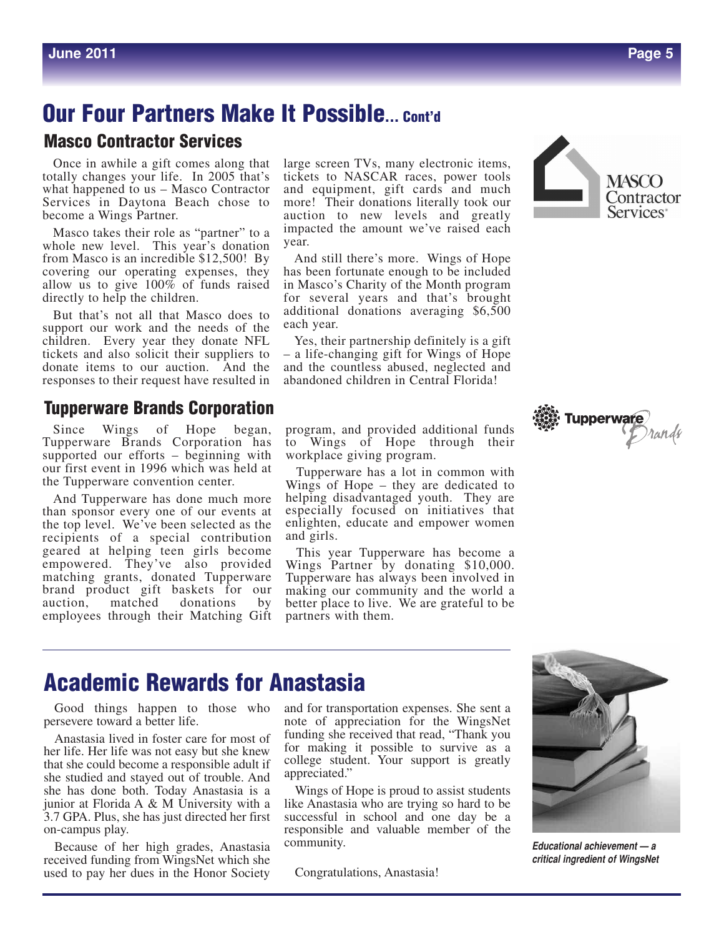#### **Our Four Partners Make It Possible** <u>Our Four Dartnore Make It Doceible and the Book of Hope and the Book and the Book and the Book and the Book and the Book and the Book and the Book and the Book and the Book and the Book and the Book and the Book and the B</u>  $\overline{\mathbf{v}}$  when  $\overline{\mathbf{v}}$ countries abused at a boom of the abuse of the abuse of the abuse of the above set of the above set of the above set of the above set of the above set of the above set of the above set of the set of the set of the set of t **Our Four Partners Make It Possible... Cont'd**

donations averaging \$6,500 each year.

#### **Masco Contractor Services** wasco l

Once in awhile a gift comes along that large so totally changes your life. In 2005 that's tickets what happened to us – Masco Contractor and equi  $D_1$  masco commercial and equi-Services in Daytona Beach chose to Once in a become a Wings Partner.

whole new level. This year's donation year. from Masco is an incredible  $$12,500!$  By And st  $\frac{1}{2}$ our  $\frac{1}{2}$ ,  $\frac{1}{2}$  allow us to  $\frac{1}{2}$ covering our operating expenses, they has been allow us to give 100% of funds raised **Tupperware Brands Corporation**  $\frac{d}{dx}$  and  $\frac{d}{dx}$  to  $\frac{d}{dx}$  if  $\frac{d}{dx}$  if  $\frac{d}{dx}$  if  $\frac{d}{dx}$  if  $\frac{d}{dx}$  if  $\frac{d}{dx}$  if  $\frac{d}{dx}$  if  $\frac{d}{dx}$  if  $\frac{d}{dx}$  if  $\frac{d}{dx}$  if  $\frac{d}{dx}$  if  $\frac{d}{dx}$  if  $\frac{d}{dx}$  if  $\frac{d}{dx}$  if  $\frac{d}{dx}$  if

But that's not all that Masco does to  $\frac{\text{addition}}{\text{odd}}$  $\frac{1}{4}$  and  $\frac{1}{4}$  c  $\frac{1}{4}$  each year. support our work and the needs of the  $\frac{\text{each}}{\text{year}}$ support our work and the needs of the case for<br>children. Every year they donate NFL Yes, the k and the needs of the east fear.<br>year they donate NFL Yes, their partnership definitely is a gift responses to their request have resulted in aba But that tickets and also solicit their suppliers to donate items to our auction. And the

#### ndo Cornoration anus Gorporation has supported our efforts  $\mu$ sponsor every one of our events at the top level. **EXECTED AS THE RECIPIT OF A SPECIAL SELECTED Tupperware Brands Corporation**

Since Wings of Hope Since wings of Hope began, program,<br>Tupperware Brands Corporation has to Win supported our efforts - beginning with workpla our first event in 1996 which was held at  $\tau_{\text{unper}}$ the Tupperware convention center.  $W_{\text{HPS}}^{\text{Lep}}$ began,

And Tupperware has done much more helping than sponsor every one of our events at the top level. We've been selected as the enlighten, educate a recipients of a special contribution and girl geared at helping teen girls become empowered. They've also provided matching grants, donated Tupperware matelling grants, donated rupperware rupperware ha<br>brand product gift baskets for our making our co auction, matched donations by employees through their Matching Gift partners And Tupperware has done mu their *water* brand product grit is

Masco takes their role as "partner" to a impacted the amount we've raise large screen TVs, many electronic items, tickets to NASCAR races, power tools and equipment, gift cards and much new, greatly and maen more! Their donations literally took our impacted the amount we've raised each auction to new levels and greatly year.

 $\frac{1}{2}$  and  $\frac{1}{2}$  and  $\frac{1}{2}$  and still there's more. Wings of Hope  $U = V \cup V$  and  $V = V \cup V$  even by  $V = V \cup V$ perating expenses, they has been fortunate enough to be included  $\frac{100\%}{100\%}$  $\frac{f}{f}$  100% of funds talsed  $\frac{f}{f}$  in Masco s Charly of the Month program.<br>he children.  $\frac{f}{f}$  for several years and that's brought all that Masco does to additional donations averaging  $$6,500$ countless abused, neglected and abandoned in Masco's Charity of the Month program each year.

our auction. And the and the countiess abused, negrected and request have resulted in abandoned children in Central Florida! solicit their suppliers to  $-$  a life-changing gift for Wings of Hope and the countless abused, neglected and

program, and provided additional funds program, and provided didnform rands<br>to Wings of Hope through their fforts – beginning with workplace giving program.<br> $\frac{1006 \text{ which we held at}}{100}$ of those began, program, and provided additional runds<br>ds Corporation has to Wings of Hope through their

Tupperware has a lot in common with Extracted to the community of Hope – they are dedicated to<br>convention center. Wings of Hope – they are dedicated to In the much more helping disadvantaged youth. They are has done much more helping disadvantaged youth. They are especially focused on initiatives that enlighten, educate and empower women and girls.  $\frac{1}{2}$  between  $\frac{1}{2}$  intriguives that

> This year Tupperware has become a Wings Partner by donating \$10,000. Tupperware has always been involved in making our community and the world a better place to live. We are grateful to be<br>partners with them partners with them.





#### **Academic Rewards for Anastasia** Rawarde for Anaet both. Today Anastasia is a junior at Florida A preciation for the WingsNet funding she re-IGWAHUD IUI MHASLASIA

 $A_{\rm{max}}$  lived in foster care for most of  $\sim$ 

transportation expenses. She sent a note of ap-

Good things happen to those who and for tra persevere toward a better life. ppen to those who and Good thin

Good things happen to those who persevere

ceived funding from WingsNet which she used

Anastasia lived in foster care for most of  $\frac{\text{funding she}}{\text{gusing the}}$ her life. Her life was not easy but she knew for making that she sould become a responsible adult if she studied that she could become a responsible adult if  $\frac{\text{college}}{\text{colage}}$ she studied and stayed out of trouble. And appreciated." she has done both. Today Anastasia is a junior at Florida A & M University with a junior at Florida A & M University with a  $3.7$  GPA. Plus, she has just directed her first on-campus play. just directed her first on-campus play.

Because of her high grades, Anastasia received funding from WingsNet which she used to pay her dues in the Honor Society Congratulations used to p

and for transportation expenses. She sent a note of appreciation for the WingsNet funding she received that read, "Thank you for making it possible to survive as a college student. Your support is greatly appreciated." ppen to those who and for transportation expenses. She sen<br>netter life  $\frac{1}{2}$  mote of anteciation for the WingsN

Today Anastasia is a Wings of Hope is proud to assist students<br> $\&$  M University with a like Anastasia who are trying so hard to be like Anastasia who are trying so hard to be as just directed her first successful in school and one day be a responsible and valuable member of the<br>righ grades. Apactosis Community. community.

Congratulations, Anastasia!



*Educational achievement — a* critical ingredient of WingsNet